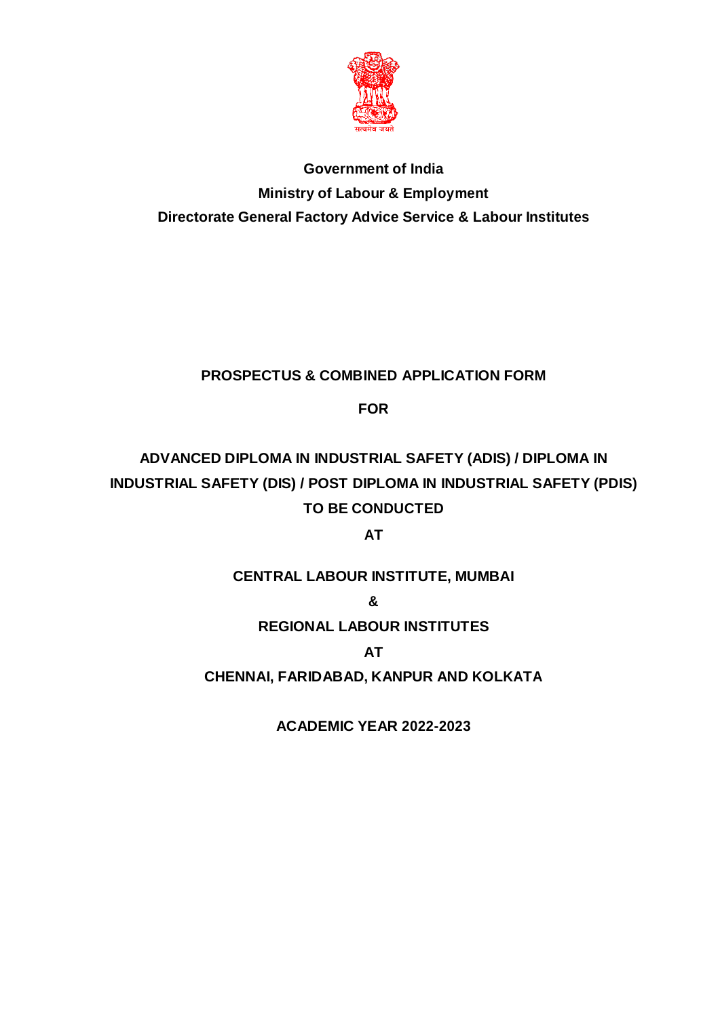

# **Government of India Ministry of Labour & Employment Directorate General Factory Advice Service & Labour Institutes**

# **PROSPECTUS & COMBINED APPLICATION FORM**

**FOR**

# **ADVANCED DIPLOMA IN INDUSTRIAL SAFETY (ADIS) / DIPLOMA IN INDUSTRIAL SAFETY (DIS) / POST DIPLOMA IN INDUSTRIAL SAFETY (PDIS) TO BE CONDUCTED**

**AT**

# **CENTRAL LABOUR INSTITUTE, MUMBAI**

**&**

# **REGIONAL LABOUR INSTITUTES**

**AT**

**CHENNAI, FARIDABAD, KANPUR AND KOLKATA**

**ACADEMIC YEAR 2022-2023**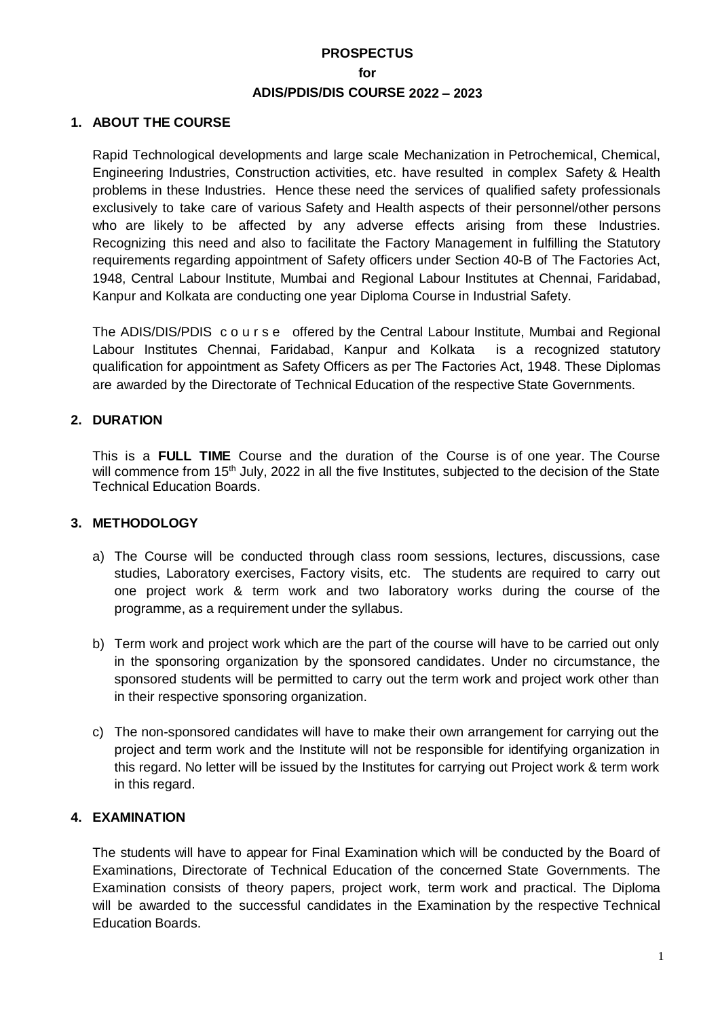### **PROSPECTUS for ADIS/PDIS/DIS COURSE 2022 – 2023**

#### **1. ABOUT THE COURSE**

Rapid Technological developments and large scale Mechanization in Petrochemical, Chemical, Engineering Industries, Construction activities, etc. have resulted in complex Safety & Health problems in these Industries. Hence these need the services of qualified safety professionals exclusively to take care of various Safety and Health aspects of their personnel/other persons who are likely to be affected by any adverse effects arising from these Industries. Recognizing this need and also to facilitate the Factory Management in fulfilling the Statutory requirements regarding appointment of Safety officers under Section 40-B of The Factories Act, 1948, Central Labour Institute, Mumbai and Regional Labour Institutes at Chennai, Faridabad, Kanpur and Kolkata are conducting one year Diploma Course in Industrial Safety.

The ADIS/DIS/PDIS course offered by the Central Labour Institute, Mumbai and Regional Labour Institutes Chennai, Faridabad, Kanpur and Kolkata is a recognized statutory qualification for appointment as Safety Officers as per The Factories Act, 1948. These Diplomas are awarded by the Directorate of Technical Education of the respective State Governments.

#### **2. DURATION**

This is a **FULL TIME** Course and the duration of the Course is of one year. The Course will commence from 15<sup>th</sup> July, 2022 in all the five Institutes, subjected to the decision of the State Technical Education Boards.

#### **3. METHODOLOGY**

- a) The Course will be conducted through class room sessions, lectures, discussions, case studies, Laboratory exercises, Factory visits, etc. The students are required to carry out one project work & term work and two laboratory works during the course of the programme, as a requirement under the syllabus.
- b) Term work and project work which are the part of the course will have to be carried out only in the sponsoring organization by the sponsored candidates. Under no circumstance, the sponsored students will be permitted to carry out the term work and project work other than in their respective sponsoring organization.
- c) The non-sponsored candidates will have to make their own arrangement for carrying out the project and term work and the Institute will not be responsible for identifying organization in this regard. No letter will be issued by the Institutes for carrying out Project work & term work in this regard.

#### **4. EXAMINATION**

The students will have to appear for Final Examination which will be conducted by the Board of Examinations, Directorate of Technical Education of the concerned State Governments. The Examination consists of theory papers, project work, term work and practical. The Diploma will be awarded to the successful candidates in the Examination by the respective Technical Education Boards.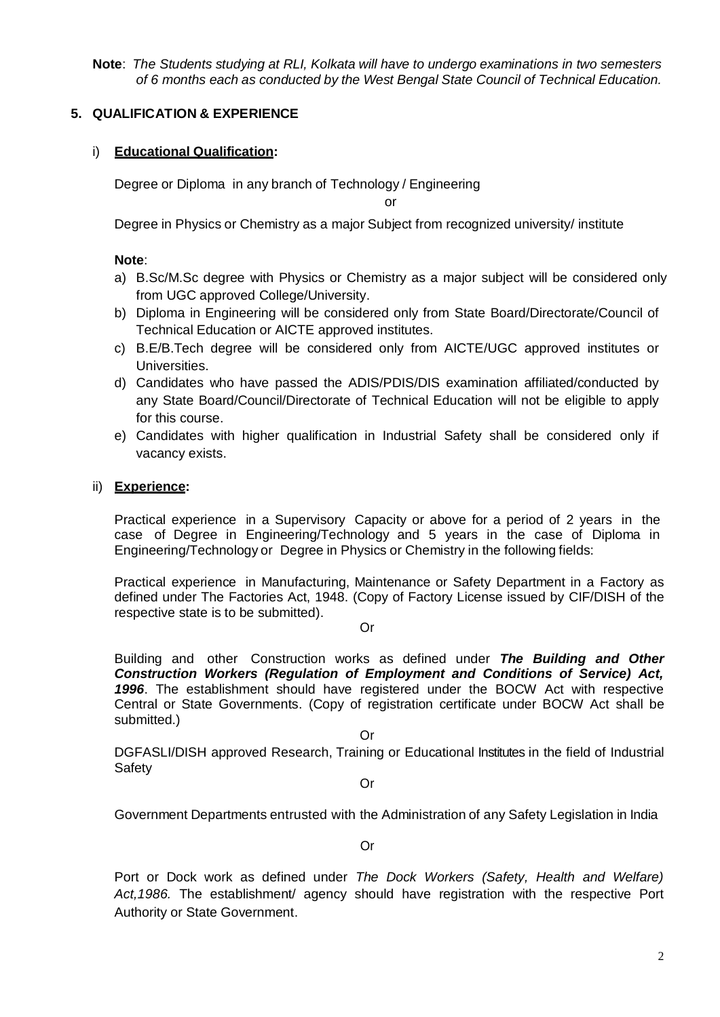**Note**: *The Students studying at RLI, Kolkata will have to undergo examinations in two semesters of 6 months each as conducted by the West Bengal State Council of Technical Education.*

#### **5. QUALIFICATION & EXPERIENCE**

#### i) **Educational Qualification:**

Degree or Diploma in any branch of Technology / Engineering

or

Degree in Physics or Chemistry as a major Subject from recognized university/ institute

#### **Note**:

- a) B.Sc/M.Sc degree with Physics or Chemistry as a major subject will be considered only from UGC approved College/University.
- b) Diploma in Engineering will be considered only from State Board/Directorate/Council of Technical Education or AICTE approved institutes.
- c) B.E/B.Tech degree will be considered only from AICTE/UGC approved institutes or Universities.
- d) Candidates who have passed the ADIS/PDIS/DIS examination affiliated/conducted by any State Board/Council/Directorate of Technical Education will not be eligible to apply for this course.
- e) Candidates with higher qualification in Industrial Safety shall be considered only if vacancy exists.

#### ii) **Experience:**

Practical experience in a Supervisory Capacity or above for a period of 2 years in the case of Degree in Engineering/Technology and 5 years in the case of Diploma in Engineering/Technology or Degree in Physics or Chemistry in the following fields:

Practical experience in Manufacturing, Maintenance or Safety Department in a Factory as defined under The Factories Act, 1948. (Copy of Factory License issued by CIF/DISH of the respective state is to be submitted).

Or

Building and other Construction works as defined under *The Building and Other Construction Workers (Regulation of Employment and Conditions of Service) Act, 1996*. The establishment should have registered under the BOCW Act with respective Central or State Governments. (Copy of registration certificate under BOCW Act shall be submitted.)

Or

DGFASLI/DISH approved Research, Training or Educational Institutes in the field of Industrial **Safety** 

Or

Government Departments entrusted with the Administration of any Safety Legislation in India

Or

Port or Dock work as defined under *The Dock Workers (Safety, Health and Welfare) Act,1986.* The establishment/ agency should have registration with the respective Port Authority or State Government.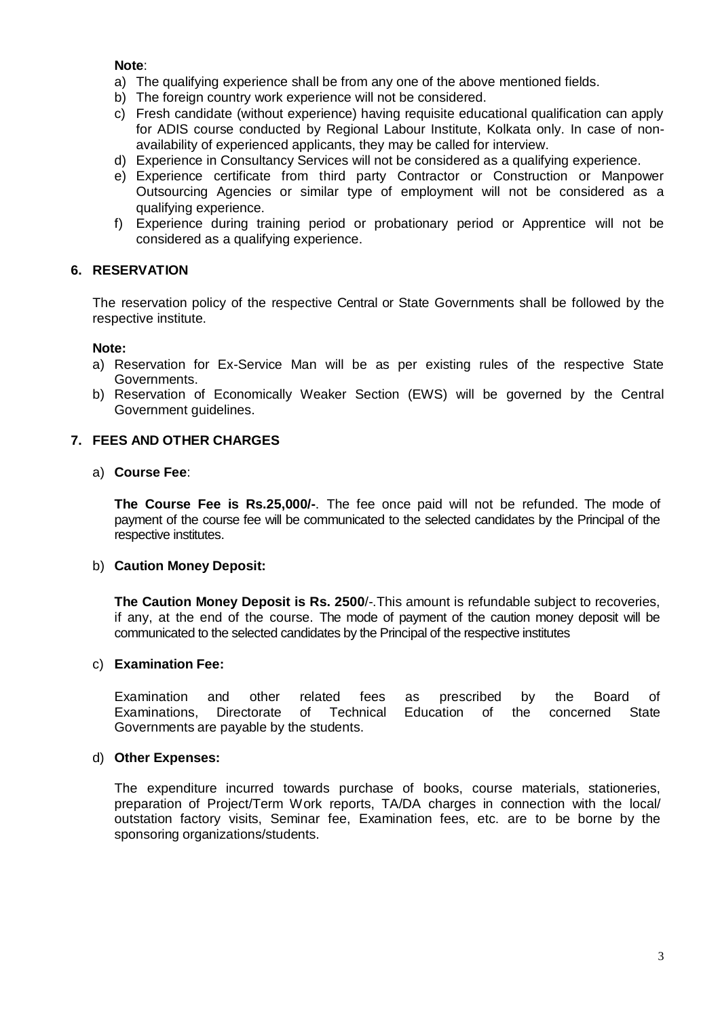#### **Note**:

- a) The qualifying experience shall be from any one of the above mentioned fields.
- b) The foreign country work experience will not be considered.
- c) Fresh candidate (without experience) having requisite educational qualification can apply for ADIS course conducted by Regional Labour Institute, Kolkata only. In case of nonavailability of experienced applicants, they may be called for interview.
- d) Experience in Consultancy Services will not be considered as a qualifying experience.
- e) Experience certificate from third party Contractor or Construction or Manpower Outsourcing Agencies or similar type of employment will not be considered as a qualifying experience.
- f) Experience during training period or probationary period or Apprentice will not be considered as a qualifying experience.

#### **6. RESERVATION**

The reservation policy of the respective Central or State Governments shall be followed by the respective institute.

#### **Note:**

- a) Reservation for Ex-Service Man will be as per existing rules of the respective State Governments.
- b) Reservation of Economically Weaker Section (EWS) will be governed by the Central Government guidelines.

#### **7. FEES AND OTHER CHARGES**

#### a) **Course Fee**:

**The Course Fee is Rs.25,000/-**. The fee once paid will not be refunded. The mode of payment of the course fee will be communicated to the selected candidates by the Principal of the respective institutes.

#### b) **Caution Money Deposit:**

**The Caution Money Deposit is Rs. 2500**/-.This amount is refundable subject to recoveries, if any, at the end of the course. The mode of payment of the caution money deposit will be communicated to the selected candidates by the Principal of the respective institutes

#### c) **Examination Fee:**

Examination and other related fees as prescribed by the Board of Examinations, Directorate of Technical Education of the concerned State Governments are payable by the students.

#### d) **Other Expenses:**

The expenditure incurred towards purchase of books, course materials, stationeries, preparation of Project/Term Work reports, TA/DA charges in connection with the local/ outstation factory visits, Seminar fee, Examination fees, etc. are to be borne by the sponsoring organizations/students.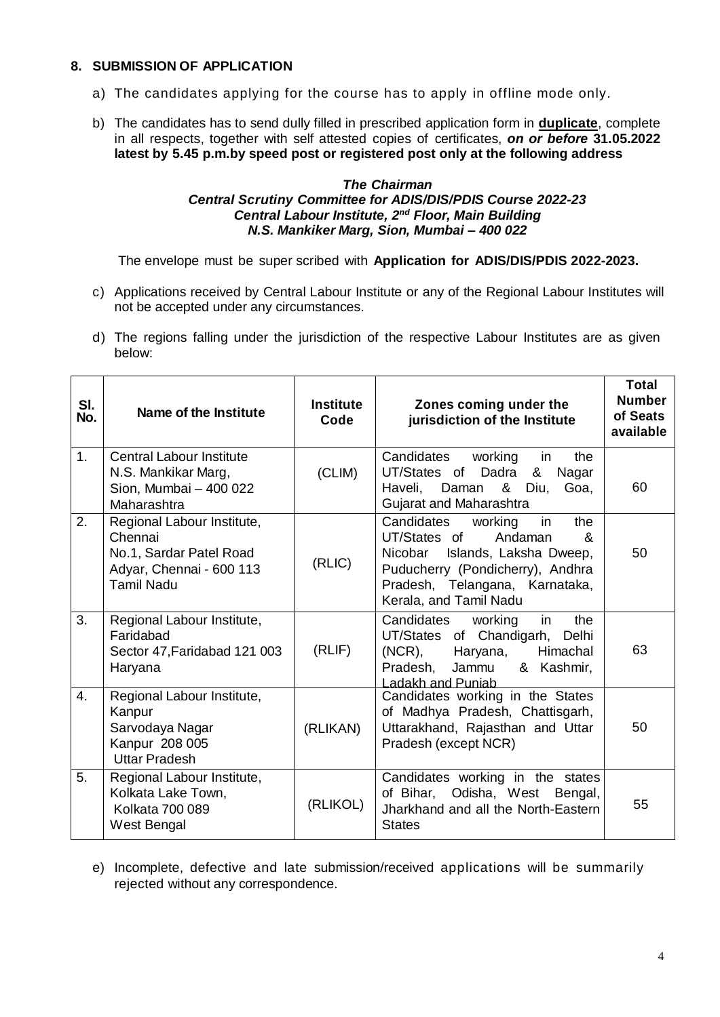#### **8. SUBMISSION OF APPLICATION**

- a) The candidates applying for the course has to apply in offline mode only.
- b) The candidates has to send dully filled in prescribed application form in **duplicate**, complete in all respects, together with self attested copies of certificates, *on or before* **31.05.2022 latest by 5.45 p.m.by speed post or registered post only at the following address**

#### *The Chairman Central Scrutiny Committee for ADIS/DIS/PDIS Course 2022-23 Central Labour Institute, 2 nd Floor, Main Building N.S. Mankiker Marg, Sion, Mumbai – 400 022*

The envelope must be super scribed with **Application for ADIS/DIS/PDIS 2022-2023.**

- c) Applications received by Central Labour Institute or any of the Regional Labour Institutes will not be accepted under any circumstances.
- d) The regions falling under the jurisdiction of the respective Labour Institutes are as given below:

| SI.<br>No. | Name of the Institute                                                                                             | <b>Institute</b><br>Code | Zones coming under the<br>jurisdiction of the Institute                                                                                                                                                          | <b>Total</b><br><b>Number</b><br>of Seats<br>available |
|------------|-------------------------------------------------------------------------------------------------------------------|--------------------------|------------------------------------------------------------------------------------------------------------------------------------------------------------------------------------------------------------------|--------------------------------------------------------|
| 1.         | <b>Central Labour Institute</b><br>N.S. Mankikar Marg,<br>Sion, Mumbai - 400 022<br>Maharashtra                   | (CLIM)                   | Candidates<br>working<br>in<br>the<br>Dadra<br>UT/States of<br>&<br>Nagar<br>Haveli,<br>& Diu,<br>Daman<br>Goa,<br>Gujarat and Maharashtra                                                                       | 60                                                     |
| 2.         | Regional Labour Institute,<br>Chennai<br>No.1, Sardar Patel Road<br>Adyar, Chennai - 600 113<br><b>Tamil Nadu</b> | (RLIC)                   | in<br>Candidates<br>working<br>the<br>UT/States of<br>Andaman<br>$\mathcal{R}$<br>Nicobar Islands, Laksha Dweep,<br>Puducherry (Pondicherry), Andhra<br>Pradesh, Telangana, Karnataka,<br>Kerala, and Tamil Nadu | 50                                                     |
| 3.         | Regional Labour Institute,<br>Faridabad<br>Sector 47, Faridabad 121 003<br>Haryana                                | (RLIF)                   | Candidates<br>working<br>in<br>the<br>UT/States of Chandigarh, Delhi<br>$(NCR)$ ,<br>Haryana,<br>Himachal<br>& Kashmir,<br>Pradesh,<br>Jammu<br>Ladakh and Puniab                                                | 63                                                     |
| 4.         | Regional Labour Institute,<br>Kanpur<br>Sarvodaya Nagar<br>Kanpur 208 005<br><b>Uttar Pradesh</b>                 | (RLIKAN)                 | Candidates working in the States<br>of Madhya Pradesh, Chattisgarh,<br>Uttarakhand, Rajasthan and Uttar<br>Pradesh (except NCR)                                                                                  | 50                                                     |
| 5.         | Regional Labour Institute,<br>Kolkata Lake Town,<br><b>Kolkata 700 089</b><br>West Bengal                         | (RLIKOL)                 | Candidates working in the states<br>of Bihar, Odisha, West Bengal,<br>Jharkhand and all the North-Eastern<br><b>States</b>                                                                                       | 55                                                     |

e) Incomplete, defective and late submission/received applications will be summarily rejected without any correspondence.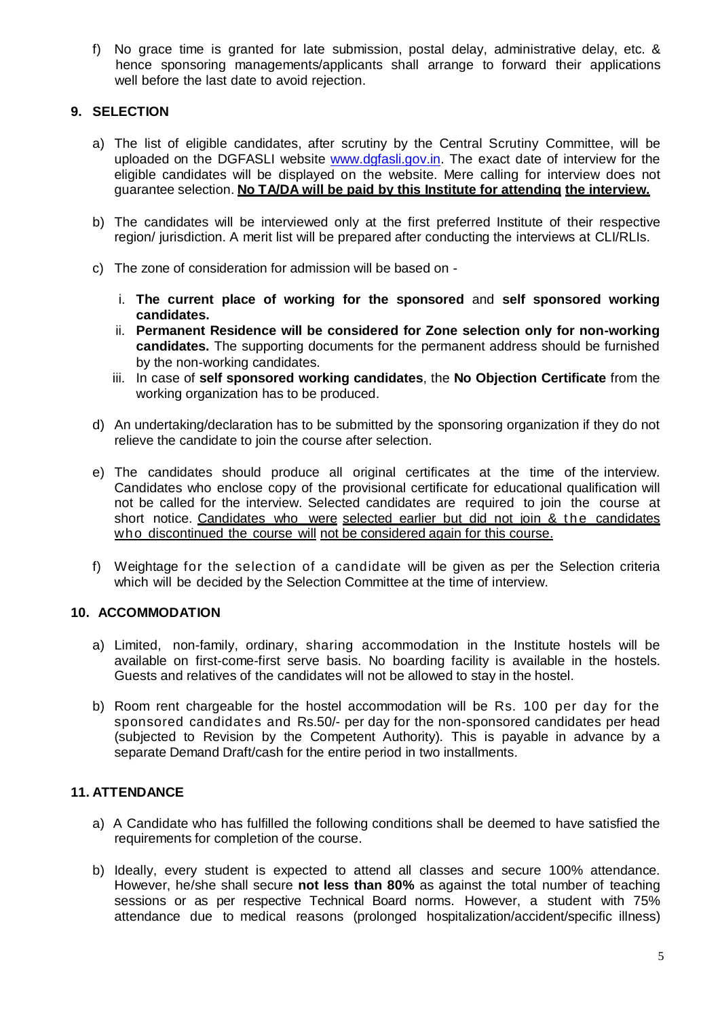f) No grace time is granted for late submission, postal delay, administrative delay, etc. & hence sponsoring managements/applicants shall arrange to forward their applications well before the last date to avoid rejection.

#### **9. SELECTION**

- a) The list of eligible candidates, after scrutiny by the Central Scrutiny Committee, will be uploaded on the DGFASLI website [www.dgfasli.gov.in.](http://www.dgfasli.gov.in/) The exact date of interview for the eligible candidates will be displayed on the website. Mere calling for interview does not guarantee selection. **No TA/DA will be paid by this Institute for attending the interview.**
- b) The candidates will be interviewed only at the first preferred Institute of their respective region/ jurisdiction. A merit list will be prepared after conducting the interviews at CLI/RLIs.
- c) The zone of consideration for admission will be based on
	- i. **The current place of working for the sponsored** and **self sponsored working candidates.**
	- ii. **Permanent Residence will be considered for Zone selection only for non-working candidates.** The supporting documents for the permanent address should be furnished by the non-working candidates.
	- iii. In case of **self sponsored working candidates**, the **No Objection Certificate** from the working organization has to be produced.
- d) An undertaking/declaration has to be submitted by the sponsoring organization if they do not relieve the candidate to join the course after selection.
- e) The candidates should produce all original certificates at the time of the interview. Candidates who enclose copy of the provisional certificate for educational qualification will not be called for the interview. Selected candidates are required to join the course at short notice. Candidates who were selected earlier but did not join & the candidates who discontinued the course will not be considered again for this course.
- f) Weightage for the selection of a candidate will be given as per the Selection criteria which will be decided by the Selection Committee at the time of interview.

#### **10. ACCOMMODATION**

- a) Limited, non-family, ordinary, sharing accommodation in the Institute hostels will be available on first-come-first serve basis. No boarding facility is available in the hostels. Guests and relatives of the candidates will not be allowed to stay in the hostel.
- b) Room rent chargeable for the hostel accommodation will be Rs. 100 per day for the sponsored candidates and Rs.50/- per day for the non-sponsored candidates per head (subjected to Revision by the Competent Authority). This is payable in advance by a separate Demand Draft/cash for the entire period in two installments.

#### **11. ATTENDANCE**

- a) A Candidate who has fulfilled the following conditions shall be deemed to have satisfied the requirements for completion of the course.
- b) Ideally, every student is expected to attend all classes and secure 100% attendance. However, he/she shall secure **not less than 80%** as against the total number of teaching sessions or as per respective Technical Board norms. However, a student with 75% attendance due to medical reasons (prolonged hospitalization/accident/specific illness)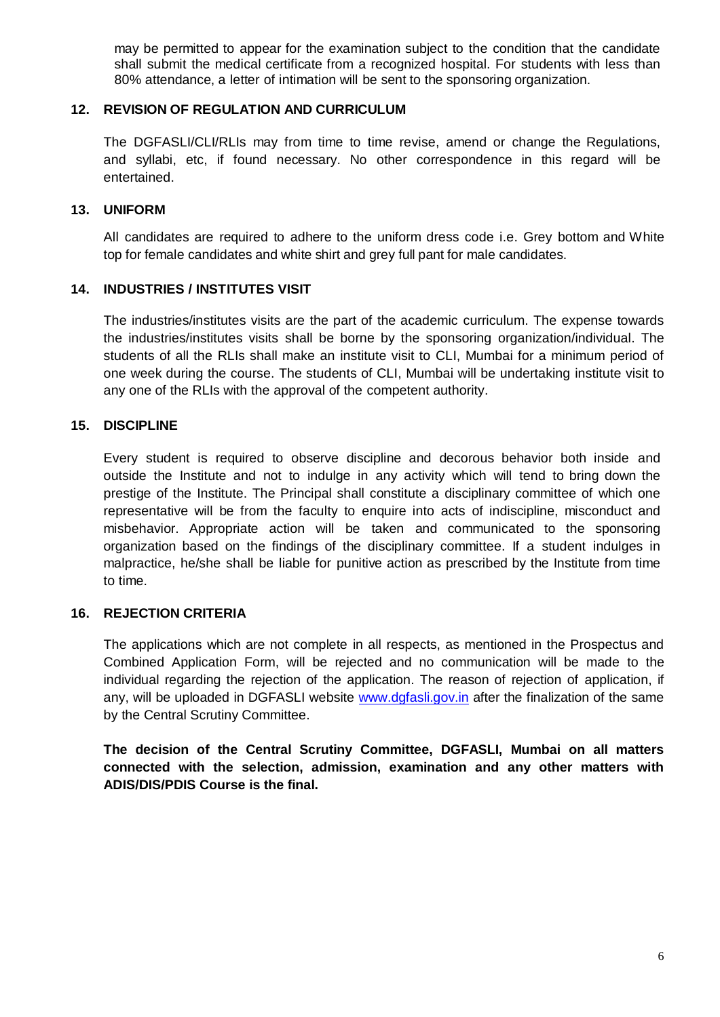may be permitted to appear for the examination subject to the condition that the candidate shall submit the medical certificate from a recognized hospital. For students with less than 80% attendance, a letter of intimation will be sent to the sponsoring organization.

#### **12. REVISION OF REGULATION AND CURRICULUM**

The DGFASLI/CLI/RLIs may from time to time revise, amend or change the Regulations, and syllabi, etc, if found necessary. No other correspondence in this regard will be entertained.

#### **13. UNIFORM**

All candidates are required to adhere to the uniform dress code i.e. Grey bottom and White top for female candidates and white shirt and grey full pant for male candidates.

#### **14. INDUSTRIES / INSTITUTES VISIT**

The industries/institutes visits are the part of the academic curriculum. The expense towards the industries/institutes visits shall be borne by the sponsoring organization/individual. The students of all the RLIs shall make an institute visit to CLI, Mumbai for a minimum period of one week during the course. The students of CLI, Mumbai will be undertaking institute visit to any one of the RLIs with the approval of the competent authority.

#### **15. DISCIPLINE**

Every student is required to observe discipline and decorous behavior both inside and outside the Institute and not to indulge in any activity which will tend to bring down the prestige of the Institute. The Principal shall constitute a disciplinary committee of which one representative will be from the faculty to enquire into acts of indiscipline, misconduct and misbehavior. Appropriate action will be taken and communicated to the sponsoring organization based on the findings of the disciplinary committee. If a student indulges in malpractice, he/she shall be liable for punitive action as prescribed by the Institute from time to time.

#### **16. REJECTION CRITERIA**

The applications which are not complete in all respects, as mentioned in the Prospectus and Combined Application Form, will be rejected and no communication will be made to the individual regarding the rejection of the application. The reason of rejection of application, if any, will be uploaded in DGFASLI website [www.dgfasli.gov.in](http://www.dgfasli.gov.in/) after the finalization of the same by the Central Scrutiny Committee.

**The decision of the Central Scrutiny Committee, DGFASLI, Mumbai on all matters connected with the selection, admission, examination and any other matters with ADIS/DIS/PDIS Course is the final.**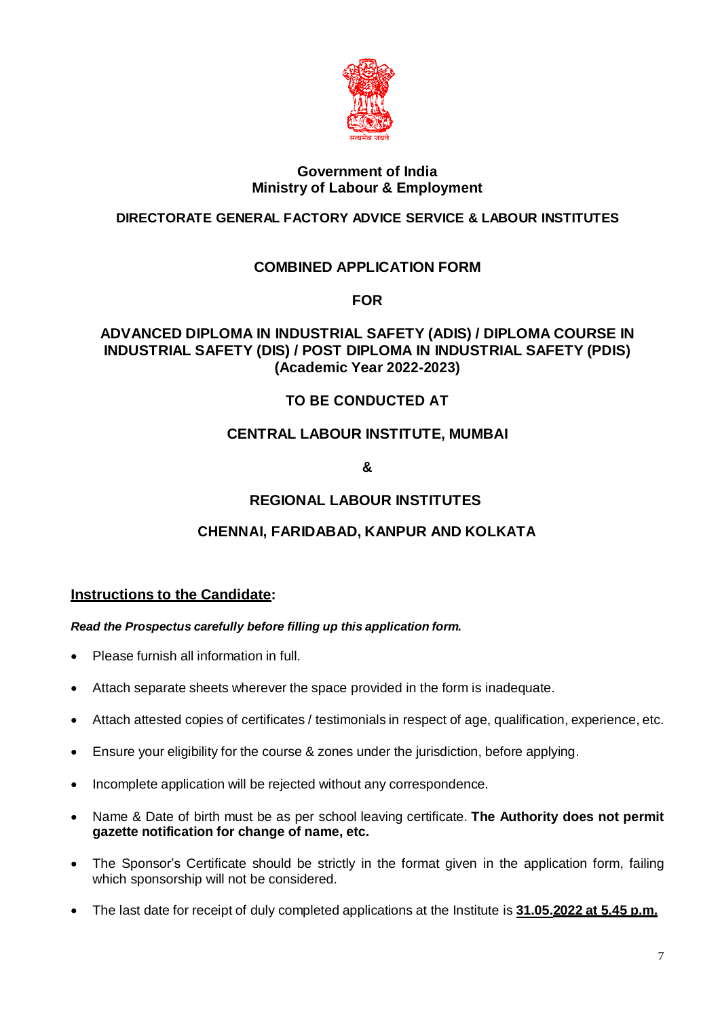

#### **Government of India Ministry of Labour & Employment**

### **DIRECTORATE GENERAL FACTORY ADVICE SERVICE & LABOUR INSTITUTES**

### **COMBINED APPLICATION FORM**

**FOR** 

### **ADVANCED DIPLOMA IN INDUSTRIAL SAFETY (ADIS) / DIPLOMA COURSE IN INDUSTRIAL SAFETY (DIS) / POST DIPLOMA IN INDUSTRIAL SAFETY (PDIS) (Academic Year 2022-2023)**

### **TO BE CONDUCTED AT**

### **CENTRAL LABOUR INSTITUTE, MUMBAI**

**&**

### **REGIONAL LABOUR INSTITUTES**

### **CHENNAI, FARIDABAD, KANPUR AND KOLKATA**

#### **Instructions to the Candidate:**

#### *Read the Prospectus carefully before filling up this application form.*

- Please furnish all information in full.
- Attach separate sheets wherever the space provided in the form is inadequate.
- Attach attested copies of certificates / testimonials in respect of age, qualification, experience, etc.
- Ensure your eligibility for the course & zones under the jurisdiction, before applying.
- Incomplete application will be rejected without any correspondence.
- Name & Date of birth must be as per school leaving certificate. **The Authority does not permit gazette notification for change of name, etc.**
- The Sponsor's Certificate should be strictly in the format given in the application form, failing which sponsorship will not be considered.
- The last date for receipt of duly completed applications at the Institute is **31.05.2022 at 5.45 p.m.**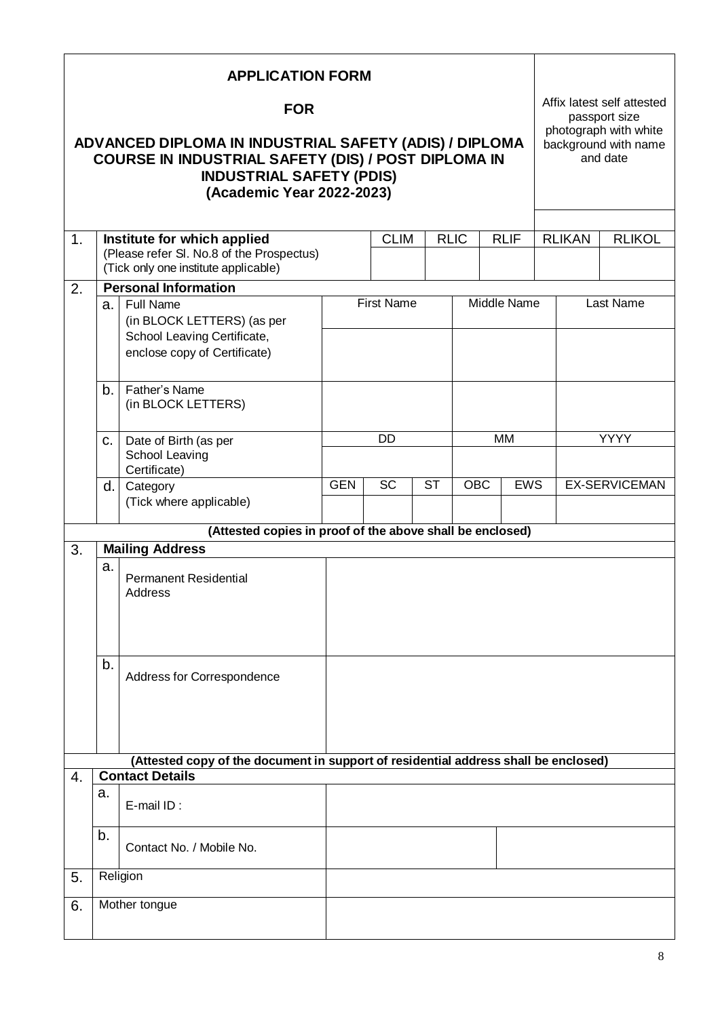|                     |                                                                                     | <b>APPLICATION FORM</b>                                                                                                                                                       |            |                   |           |             |                                             |  |               |                                                           |
|---------------------|-------------------------------------------------------------------------------------|-------------------------------------------------------------------------------------------------------------------------------------------------------------------------------|------------|-------------------|-----------|-------------|---------------------------------------------|--|---------------|-----------------------------------------------------------|
|                     |                                                                                     | <b>FOR</b>                                                                                                                                                                    |            |                   |           |             | Affix latest self attested<br>passport size |  |               |                                                           |
|                     |                                                                                     | ADVANCED DIPLOMA IN INDUSTRIAL SAFETY (ADIS) / DIPLOMA<br>COURSE IN INDUSTRIAL SAFETY (DIS) / POST DIPLOMA IN<br><b>INDUSTRIAL SAFETY (PDIS)</b><br>(Academic Year 2022-2023) |            |                   |           |             |                                             |  |               | photograph with white<br>background with name<br>and date |
|                     |                                                                                     |                                                                                                                                                                               |            | <b>CLIM</b>       |           |             |                                             |  |               |                                                           |
| 1 <sub>1</sub>      |                                                                                     | Institute for which applied<br>(Please refer SI. No.8 of the Prospectus)<br>(Tick only one institute applicable)                                                              |            |                   |           | <b>RLIC</b> | <b>RLIF</b>                                 |  | <b>RLIKAN</b> | <b>RLIKOL</b>                                             |
| 2.                  |                                                                                     | <b>Personal Information</b>                                                                                                                                                   |            |                   |           |             |                                             |  |               |                                                           |
|                     | $a_{\cdot}$                                                                         | <b>Full Name</b>                                                                                                                                                              |            | <b>First Name</b> |           |             | Middle Name                                 |  |               | <b>Last Name</b>                                          |
|                     |                                                                                     | (in BLOCK LETTERS) (as per<br>School Leaving Certificate,<br>enclose copy of Certificate)                                                                                     |            |                   |           |             |                                             |  |               |                                                           |
|                     | Father's Name<br>b.<br>(in BLOCK LETTERS)                                           |                                                                                                                                                                               |            |                   |           |             |                                             |  |               |                                                           |
|                     |                                                                                     |                                                                                                                                                                               |            | DD                |           |             | <b>MM</b>                                   |  | <b>YYYY</b>   |                                                           |
|                     | C.                                                                                  | Date of Birth (as per<br>School Leaving<br>Certificate)                                                                                                                       |            |                   |           |             |                                             |  |               |                                                           |
|                     | d.                                                                                  | Category                                                                                                                                                                      | <b>GEN</b> | <b>SC</b>         | <b>ST</b> | OBC         | <b>EWS</b>                                  |  |               | <b>EX-SERVICEMAN</b>                                      |
|                     |                                                                                     | (Tick where applicable)                                                                                                                                                       |            |                   |           |             |                                             |  |               |                                                           |
|                     |                                                                                     | (Attested copies in proof of the above shall be enclosed)                                                                                                                     |            |                   |           |             |                                             |  |               |                                                           |
| 3.                  |                                                                                     | <b>Mailing Address</b>                                                                                                                                                        |            |                   |           |             |                                             |  |               |                                                           |
|                     | a.                                                                                  | <b>Permanent Residential</b><br>Address                                                                                                                                       |            |                   |           |             |                                             |  |               |                                                           |
|                     |                                                                                     |                                                                                                                                                                               |            |                   |           |             |                                             |  |               |                                                           |
|                     | b.                                                                                  | Address for Correspondence                                                                                                                                                    |            |                   |           |             |                                             |  |               |                                                           |
|                     | (Attested copy of the document in support of residential address shall be enclosed) |                                                                                                                                                                               |            |                   |           |             |                                             |  |               |                                                           |
| 4.                  |                                                                                     | <b>Contact Details</b>                                                                                                                                                        |            |                   |           |             |                                             |  |               |                                                           |
|                     | a.                                                                                  | E-mail ID:                                                                                                                                                                    |            |                   |           |             |                                             |  |               |                                                           |
|                     | b.                                                                                  | Contact No. / Mobile No.                                                                                                                                                      |            |                   |           |             |                                             |  |               |                                                           |
| 5.                  |                                                                                     | Religion                                                                                                                                                                      |            |                   |           |             |                                             |  |               |                                                           |
| Mother tongue<br>6. |                                                                                     |                                                                                                                                                                               |            |                   |           |             |                                             |  |               |                                                           |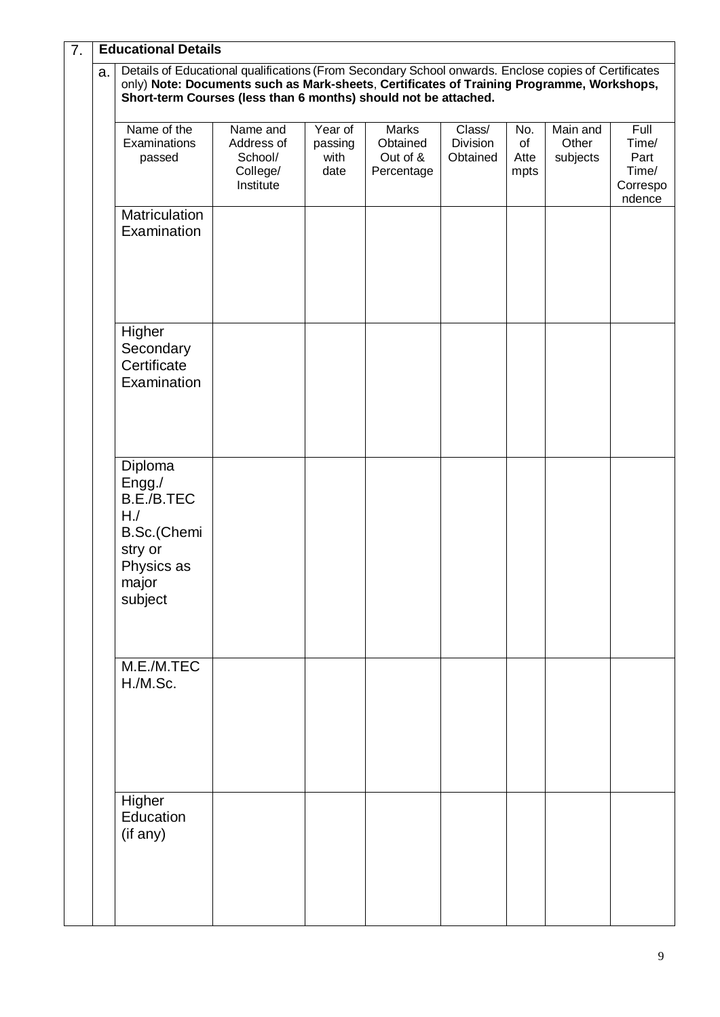| 7.                                                                                                                                                                                                                                                                         |  | <b>Educational Details</b>                                                                        |                                                            |                                    |                                                    |                                |                           |                               |                                                      |
|----------------------------------------------------------------------------------------------------------------------------------------------------------------------------------------------------------------------------------------------------------------------------|--|---------------------------------------------------------------------------------------------------|------------------------------------------------------------|------------------------------------|----------------------------------------------------|--------------------------------|---------------------------|-------------------------------|------------------------------------------------------|
| Details of Educational qualifications (From Secondary School onwards. Enclose copies of Certificates<br>a.<br>only) Note: Documents such as Mark-sheets, Certificates of Training Programme, Workshops,<br>Short-term Courses (less than 6 months) should not be attached. |  |                                                                                                   |                                                            |                                    |                                                    |                                |                           |                               |                                                      |
|                                                                                                                                                                                                                                                                            |  | Name of the<br>Examinations<br>passed                                                             | Name and<br>Address of<br>School/<br>College/<br>Institute | Year of<br>passing<br>with<br>date | <b>Marks</b><br>Obtained<br>Out of &<br>Percentage | Class/<br>Division<br>Obtained | No.<br>of<br>Atte<br>mpts | Main and<br>Other<br>subjects | Full<br>Time/<br>Part<br>Time/<br>Correspo<br>ndence |
|                                                                                                                                                                                                                                                                            |  | Matriculation<br>Examination                                                                      |                                                            |                                    |                                                    |                                |                           |                               |                                                      |
|                                                                                                                                                                                                                                                                            |  | Higher<br>Secondary<br>Certificate<br>Examination                                                 |                                                            |                                    |                                                    |                                |                           |                               |                                                      |
|                                                                                                                                                                                                                                                                            |  | Diploma<br>Engg./<br>B.E./B.TEC<br>HJ<br>B.Sc.(Chemi<br>stry or<br>Physics as<br>major<br>subject |                                                            |                                    |                                                    |                                |                           |                               |                                                      |
|                                                                                                                                                                                                                                                                            |  | M.E./M.TEC<br>H./M.Sc.                                                                            |                                                            |                                    |                                                    |                                |                           |                               |                                                      |
|                                                                                                                                                                                                                                                                            |  | Higher<br>Education<br>(if any)                                                                   |                                                            |                                    |                                                    |                                |                           |                               |                                                      |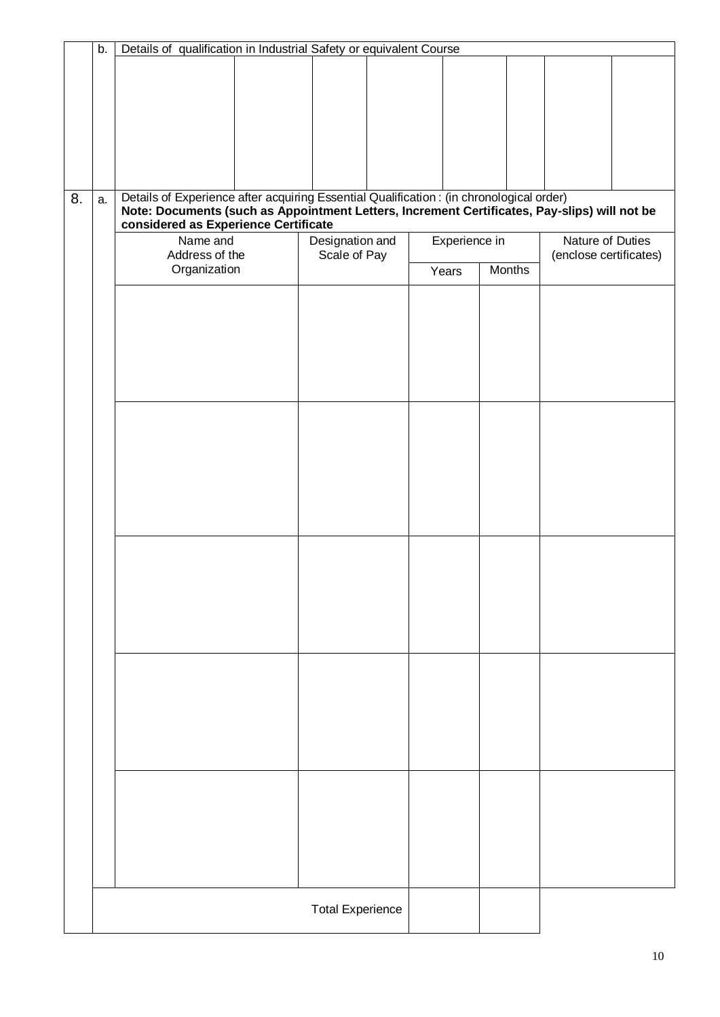|    | b. | Details of qualification in Industrial Safety or equivalent Course                                                                                                                                                               |                                 |                        |               |                                            |  |  |  |
|----|----|----------------------------------------------------------------------------------------------------------------------------------------------------------------------------------------------------------------------------------|---------------------------------|------------------------|---------------|--------------------------------------------|--|--|--|
|    |    |                                                                                                                                                                                                                                  |                                 |                        |               |                                            |  |  |  |
|    |    |                                                                                                                                                                                                                                  |                                 |                        |               |                                            |  |  |  |
|    |    |                                                                                                                                                                                                                                  |                                 |                        |               |                                            |  |  |  |
|    |    |                                                                                                                                                                                                                                  |                                 |                        |               |                                            |  |  |  |
| 8. | a. | Details of Experience after acquiring Essential Qualification : (in chronological order)<br>Note: Documents (such as Appointment Letters, Increment Certificates, Pay-slips) will not be<br>considered as Experience Certificate |                                 |                        |               |                                            |  |  |  |
|    |    | Name and<br>Address of the<br>Organization                                                                                                                                                                                       | Designation and<br>Scale of Pay | Experience in<br>Years | <b>Months</b> | Nature of Duties<br>(enclose certificates) |  |  |  |
|    |    |                                                                                                                                                                                                                                  |                                 |                        |               |                                            |  |  |  |
|    |    |                                                                                                                                                                                                                                  |                                 |                        |               |                                            |  |  |  |
|    |    |                                                                                                                                                                                                                                  |                                 |                        |               |                                            |  |  |  |
|    |    |                                                                                                                                                                                                                                  |                                 |                        |               |                                            |  |  |  |
|    |    |                                                                                                                                                                                                                                  |                                 |                        |               |                                            |  |  |  |
|    |    |                                                                                                                                                                                                                                  |                                 |                        |               |                                            |  |  |  |
|    |    |                                                                                                                                                                                                                                  |                                 |                        |               |                                            |  |  |  |
|    |    |                                                                                                                                                                                                                                  |                                 |                        |               |                                            |  |  |  |
|    |    |                                                                                                                                                                                                                                  |                                 |                        |               |                                            |  |  |  |
|    |    |                                                                                                                                                                                                                                  |                                 |                        |               |                                            |  |  |  |
|    |    |                                                                                                                                                                                                                                  |                                 |                        |               |                                            |  |  |  |
|    |    |                                                                                                                                                                                                                                  |                                 |                        |               |                                            |  |  |  |
|    |    |                                                                                                                                                                                                                                  |                                 |                        |               |                                            |  |  |  |
|    |    |                                                                                                                                                                                                                                  |                                 |                        |               |                                            |  |  |  |
|    |    |                                                                                                                                                                                                                                  |                                 |                        |               |                                            |  |  |  |
|    |    |                                                                                                                                                                                                                                  |                                 |                        |               |                                            |  |  |  |
|    |    |                                                                                                                                                                                                                                  |                                 |                        |               |                                            |  |  |  |
|    |    |                                                                                                                                                                                                                                  | <b>Total Experience</b>         |                        |               |                                            |  |  |  |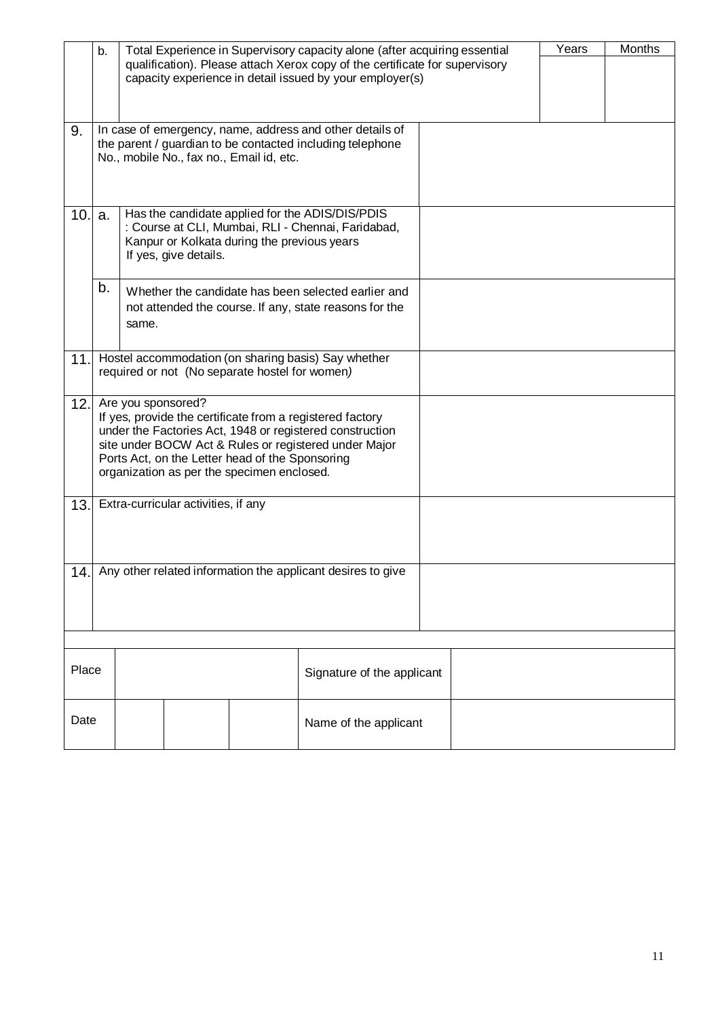|      | b.                                                                                                                                                                                                                                                                                                    | Total Experience in Supervisory capacity alone (after acquiring essential<br>qualification). Please attach Xerox copy of the certificate for supervisory<br>capacity experience in detail issued by your employer(s) |  |                                                                                                                                                                   |                                                     | Years | Months |  |
|------|-------------------------------------------------------------------------------------------------------------------------------------------------------------------------------------------------------------------------------------------------------------------------------------------------------|----------------------------------------------------------------------------------------------------------------------------------------------------------------------------------------------------------------------|--|-------------------------------------------------------------------------------------------------------------------------------------------------------------------|-----------------------------------------------------|-------|--------|--|
| 9.   |                                                                                                                                                                                                                                                                                                       |                                                                                                                                                                                                                      |  | In case of emergency, name, address and other details of<br>the parent / guardian to be contacted including telephone<br>No., mobile No., fax no., Email id, etc. |                                                     |       |        |  |
| 10.1 | Has the candidate applied for the ADIS/DIS/PDIS<br>a.<br>: Course at CLI, Mumbai, RLI - Chennai, Faridabad,<br>Kanpur or Kolkata during the previous years<br>If yes, give details.                                                                                                                   |                                                                                                                                                                                                                      |  |                                                                                                                                                                   |                                                     |       |        |  |
|      | b.<br>Whether the candidate has been selected earlier and<br>not attended the course. If any, state reasons for the<br>same.                                                                                                                                                                          |                                                                                                                                                                                                                      |  |                                                                                                                                                                   |                                                     |       |        |  |
| 11.  |                                                                                                                                                                                                                                                                                                       |                                                                                                                                                                                                                      |  | required or not (No separate hostel for women)                                                                                                                    | Hostel accommodation (on sharing basis) Say whether |       |        |  |
| 12.  | Are you sponsored?<br>If yes, provide the certificate from a registered factory<br>under the Factories Act, 1948 or registered construction<br>site under BOCW Act & Rules or registered under Major<br>Ports Act, on the Letter head of the Sponsoring<br>organization as per the specimen enclosed. |                                                                                                                                                                                                                      |  |                                                                                                                                                                   |                                                     |       |        |  |
| 13.  | Extra-curricular activities, if any                                                                                                                                                                                                                                                                   |                                                                                                                                                                                                                      |  |                                                                                                                                                                   |                                                     |       |        |  |
|      | 14. Any other related information the applicant desires to give                                                                                                                                                                                                                                       |                                                                                                                                                                                                                      |  |                                                                                                                                                                   |                                                     |       |        |  |
|      | Place<br>Signature of the applicant                                                                                                                                                                                                                                                                   |                                                                                                                                                                                                                      |  |                                                                                                                                                                   |                                                     |       |        |  |
|      | Date<br>Name of the applicant                                                                                                                                                                                                                                                                         |                                                                                                                                                                                                                      |  |                                                                                                                                                                   |                                                     |       |        |  |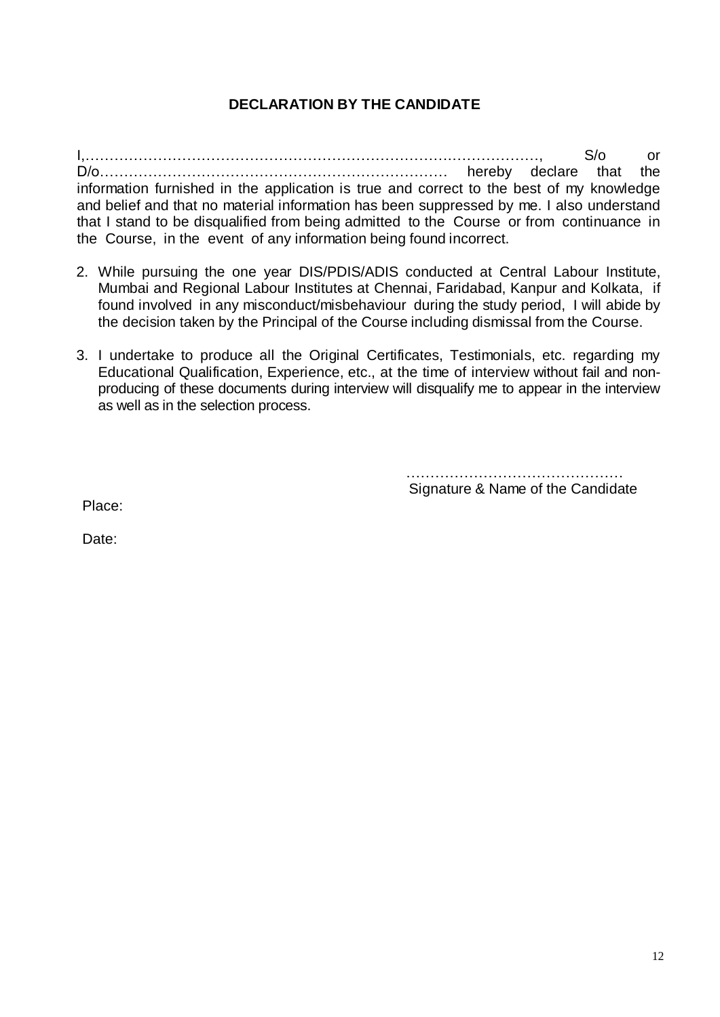## **DECLARATION BY THE CANDIDATE**

I,………………………………………………………………….………………, S/o or D/o……………………………………………………………… hereby declare that the information furnished in the application is true and correct to the best of my knowledge and belief and that no material information has been suppressed by me. I also understand that I stand to be disqualified from being admitted to the Course or from continuance in the Course, in the event of any information being found incorrect.

- 2. While pursuing the one year DIS/PDIS/ADIS conducted at Central Labour Institute, Mumbai and Regional Labour Institutes at Chennai, Faridabad, Kanpur and Kolkata, if found involved in any misconduct/misbehaviour during the study period, I will abide by the decision taken by the Principal of the Course including dismissal from the Course.
- 3. I undertake to produce all the Original Certificates, Testimonials, etc. regarding my Educational Qualification, Experience, etc., at the time of interview without fail and nonproducing of these documents during interview will disqualify me to appear in the interview as well as in the selection process.

……………………………………… Signature & Name of the Candidate

Place:

Date: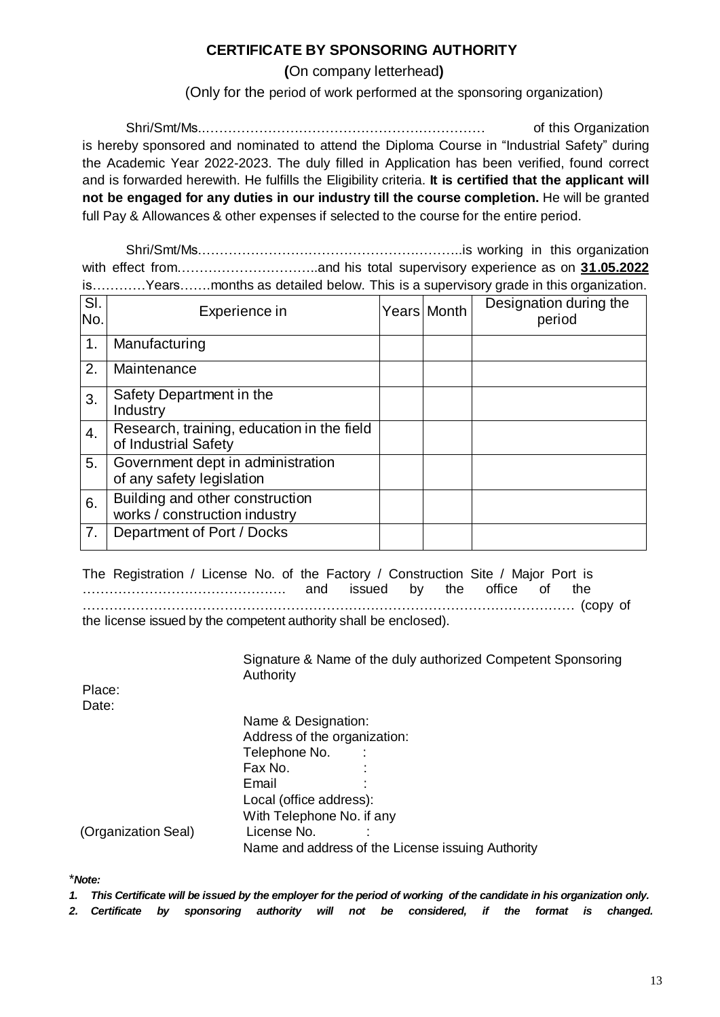### **CERTIFICATE BY SPONSORING AUTHORITY**

**(**On company letterhead**)**

(Only for the period of work performed at the sponsoring organization)

Shri/Smt/Ms..……………………………………………………… of this Organization is hereby sponsored and nominated to attend the Diploma Course in "Industrial Safety" during the Academic Year 2022-2023. The duly filled in Application has been verified, found correct and is forwarded herewith. He fulfills the Eligibility criteria. **It is certified that the applicant will not be engaged for any duties in our industry till the course completion.** He will be granted full Pay & Allowances & other expenses if selected to the course for the entire period.

Shri/Smt/Ms.…………………………………………………..is working in this organization with effect from……………………………and his total supervisory experience as on **31.05.2022** is…………Years…….months as detailed below. This is a supervisory grade in this organization.

| SI.<br>No.       | Experience in                                                      | Years Month | Designation during the<br>period |
|------------------|--------------------------------------------------------------------|-------------|----------------------------------|
| 1.               | Manufacturing                                                      |             |                                  |
| 2.               | Maintenance                                                        |             |                                  |
| 3.               | Safety Department in the<br>Industry                               |             |                                  |
| $\overline{4}$ . | Research, training, education in the field<br>of Industrial Safety |             |                                  |
| 5.               | Government dept in administration<br>of any safety legislation     |             |                                  |
| 6.               | Building and other construction<br>works / construction industry   |             |                                  |
| 7.               | Department of Port / Docks                                         |             |                                  |

The Registration / License No. of the Factory / Construction Site / Major Port is ………………………………………. and issued by the office of the ………………………………………………………………………………………………… (copy of the license issued by the competent authority shall be enclosed).

> Signature & Name of the duly authorized Competent Sponsoring Authority

Place: Date:

|                     | Name & Designation:          |                                                   |  |  |  |
|---------------------|------------------------------|---------------------------------------------------|--|--|--|
|                     | Address of the organization: |                                                   |  |  |  |
|                     | Telephone No.                |                                                   |  |  |  |
|                     | Fax No.                      |                                                   |  |  |  |
|                     | Email                        |                                                   |  |  |  |
|                     | Local (office address):      |                                                   |  |  |  |
|                     | With Telephone No. if any    |                                                   |  |  |  |
| (Organization Seal) | License No.                  |                                                   |  |  |  |
|                     |                              | Name and address of the License issuing Authority |  |  |  |

\**Note:* 

*1. This Certificate will be issued by the employer for the period of working of the candidate in his organization only.* 

*2. Certificate by sponsoring authority will not be considered, if the format is changed.*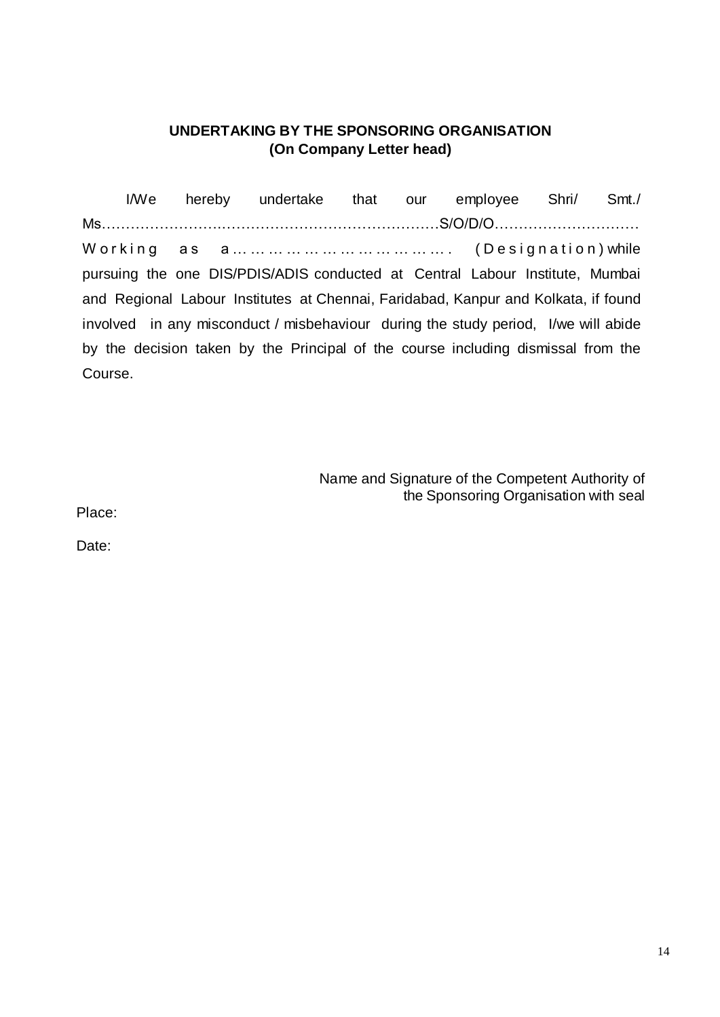### **UNDERTAKING BY THE SPONSORING ORGANISATION (On Company Letter head)**

I/We hereby undertake that our employee Shri/ Smt./ Ms…………………….………………………………………S/O/D/O………………………… Working as  $a_1, a_2, a_3, a_4, a_5, a_6, a_7, a_8, a_9, a_1, a_2, a_3, a_4, a_5, a_6, a_7, a_8, a_9, a_1, a_2, a_3, a_4, a_5, a_6, a_7, a_8, a_9, a_1, a_2, a_3, a_4, a_5, a_6, a_7, a_8, a_9, a_1, a_2, a_3, a_4, a_5, a_6, a_7, a_8, a_9, a_1, a_2, a_3, a_4, a_5, a_6, a_7, a$ pursuing the one DIS/PDIS/ADIS conducted at Central Labour Institute, Mumbai and Regional Labour Institutes at Chennai, Faridabad, Kanpur and Kolkata, if found involved in any misconduct / misbehaviour during the study period, I/we will abide by the decision taken by the Principal of the course including dismissal from the Course.

> Name and Signature of the Competent Authority of the Sponsoring Organisation with seal

Place:

Date: